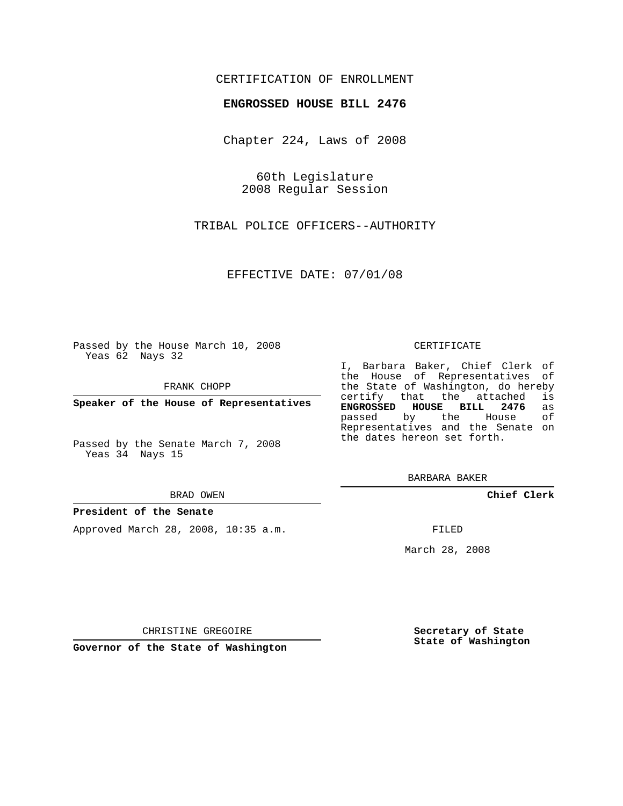# CERTIFICATION OF ENROLLMENT

## **ENGROSSED HOUSE BILL 2476**

Chapter 224, Laws of 2008

60th Legislature 2008 Regular Session

TRIBAL POLICE OFFICERS--AUTHORITY

EFFECTIVE DATE: 07/01/08

Passed by the House March 10, 2008 Yeas 62 Nays 32

FRANK CHOPP

**Speaker of the House of Representatives**

Passed by the Senate March 7, 2008 Yeas 34 Nays 15

#### BRAD OWEN

### **President of the Senate**

Approved March 28, 2008, 10:35 a.m.

#### CERTIFICATE

I, Barbara Baker, Chief Clerk of the House of Representatives of the State of Washington, do hereby certify that the attached is **ENGROSSED HOUSE BILL 2476** as passed by the House of Representatives and the Senate on the dates hereon set forth.

BARBARA BAKER

**Chief Clerk**

FILED

March 28, 2008

**Secretary of State State of Washington**

CHRISTINE GREGOIRE

**Governor of the State of Washington**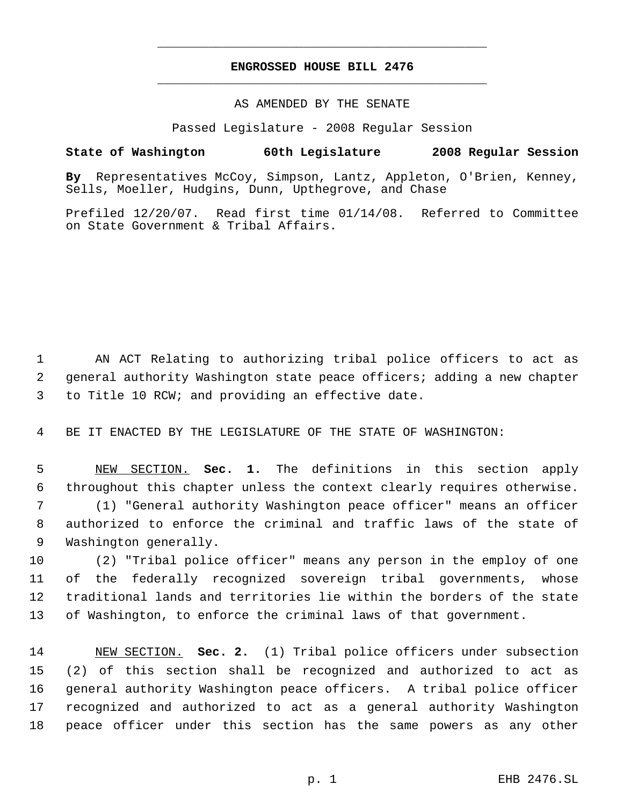# **ENGROSSED HOUSE BILL 2476** \_\_\_\_\_\_\_\_\_\_\_\_\_\_\_\_\_\_\_\_\_\_\_\_\_\_\_\_\_\_\_\_\_\_\_\_\_\_\_\_\_\_\_\_\_

\_\_\_\_\_\_\_\_\_\_\_\_\_\_\_\_\_\_\_\_\_\_\_\_\_\_\_\_\_\_\_\_\_\_\_\_\_\_\_\_\_\_\_\_\_

## AS AMENDED BY THE SENATE

Passed Legislature - 2008 Regular Session

## **State of Washington 60th Legislature 2008 Regular Session**

**By** Representatives McCoy, Simpson, Lantz, Appleton, O'Brien, Kenney, Sells, Moeller, Hudgins, Dunn, Upthegrove, and Chase

Prefiled 12/20/07. Read first time 01/14/08. Referred to Committee on State Government & Tribal Affairs.

 AN ACT Relating to authorizing tribal police officers to act as general authority Washington state peace officers; adding a new chapter to Title 10 RCW; and providing an effective date.

BE IT ENACTED BY THE LEGISLATURE OF THE STATE OF WASHINGTON:

 NEW SECTION. **Sec. 1.** The definitions in this section apply throughout this chapter unless the context clearly requires otherwise. (1) "General authority Washington peace officer" means an officer authorized to enforce the criminal and traffic laws of the state of Washington generally.

 (2) "Tribal police officer" means any person in the employ of one of the federally recognized sovereign tribal governments, whose traditional lands and territories lie within the borders of the state of Washington, to enforce the criminal laws of that government.

 NEW SECTION. **Sec. 2.** (1) Tribal police officers under subsection (2) of this section shall be recognized and authorized to act as general authority Washington peace officers. A tribal police officer recognized and authorized to act as a general authority Washington peace officer under this section has the same powers as any other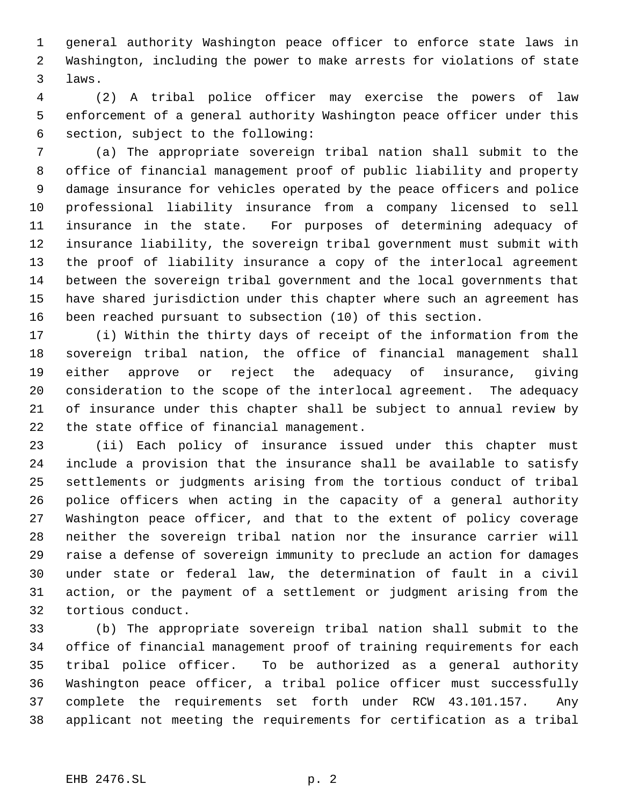general authority Washington peace officer to enforce state laws in Washington, including the power to make arrests for violations of state laws.

 (2) A tribal police officer may exercise the powers of law enforcement of a general authority Washington peace officer under this section, subject to the following:

 (a) The appropriate sovereign tribal nation shall submit to the office of financial management proof of public liability and property damage insurance for vehicles operated by the peace officers and police professional liability insurance from a company licensed to sell insurance in the state. For purposes of determining adequacy of insurance liability, the sovereign tribal government must submit with the proof of liability insurance a copy of the interlocal agreement between the sovereign tribal government and the local governments that have shared jurisdiction under this chapter where such an agreement has been reached pursuant to subsection (10) of this section.

 (i) Within the thirty days of receipt of the information from the sovereign tribal nation, the office of financial management shall either approve or reject the adequacy of insurance, giving consideration to the scope of the interlocal agreement. The adequacy of insurance under this chapter shall be subject to annual review by the state office of financial management.

 (ii) Each policy of insurance issued under this chapter must include a provision that the insurance shall be available to satisfy settlements or judgments arising from the tortious conduct of tribal police officers when acting in the capacity of a general authority Washington peace officer, and that to the extent of policy coverage neither the sovereign tribal nation nor the insurance carrier will raise a defense of sovereign immunity to preclude an action for damages under state or federal law, the determination of fault in a civil action, or the payment of a settlement or judgment arising from the tortious conduct.

 (b) The appropriate sovereign tribal nation shall submit to the office of financial management proof of training requirements for each tribal police officer. To be authorized as a general authority Washington peace officer, a tribal police officer must successfully complete the requirements set forth under RCW 43.101.157. Any applicant not meeting the requirements for certification as a tribal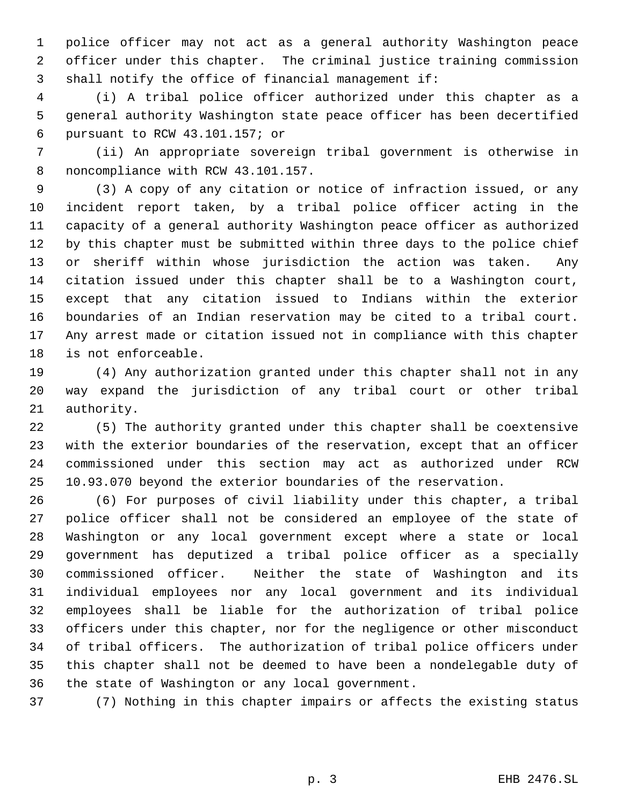police officer may not act as a general authority Washington peace officer under this chapter. The criminal justice training commission shall notify the office of financial management if:

 (i) A tribal police officer authorized under this chapter as a general authority Washington state peace officer has been decertified pursuant to RCW 43.101.157; or

 (ii) An appropriate sovereign tribal government is otherwise in noncompliance with RCW 43.101.157.

 (3) A copy of any citation or notice of infraction issued, or any incident report taken, by a tribal police officer acting in the capacity of a general authority Washington peace officer as authorized by this chapter must be submitted within three days to the police chief or sheriff within whose jurisdiction the action was taken. Any citation issued under this chapter shall be to a Washington court, except that any citation issued to Indians within the exterior boundaries of an Indian reservation may be cited to a tribal court. Any arrest made or citation issued not in compliance with this chapter is not enforceable.

 (4) Any authorization granted under this chapter shall not in any way expand the jurisdiction of any tribal court or other tribal authority.

 (5) The authority granted under this chapter shall be coextensive with the exterior boundaries of the reservation, except that an officer commissioned under this section may act as authorized under RCW 10.93.070 beyond the exterior boundaries of the reservation.

 (6) For purposes of civil liability under this chapter, a tribal police officer shall not be considered an employee of the state of Washington or any local government except where a state or local government has deputized a tribal police officer as a specially commissioned officer. Neither the state of Washington and its individual employees nor any local government and its individual employees shall be liable for the authorization of tribal police officers under this chapter, nor for the negligence or other misconduct of tribal officers. The authorization of tribal police officers under this chapter shall not be deemed to have been a nondelegable duty of the state of Washington or any local government.

(7) Nothing in this chapter impairs or affects the existing status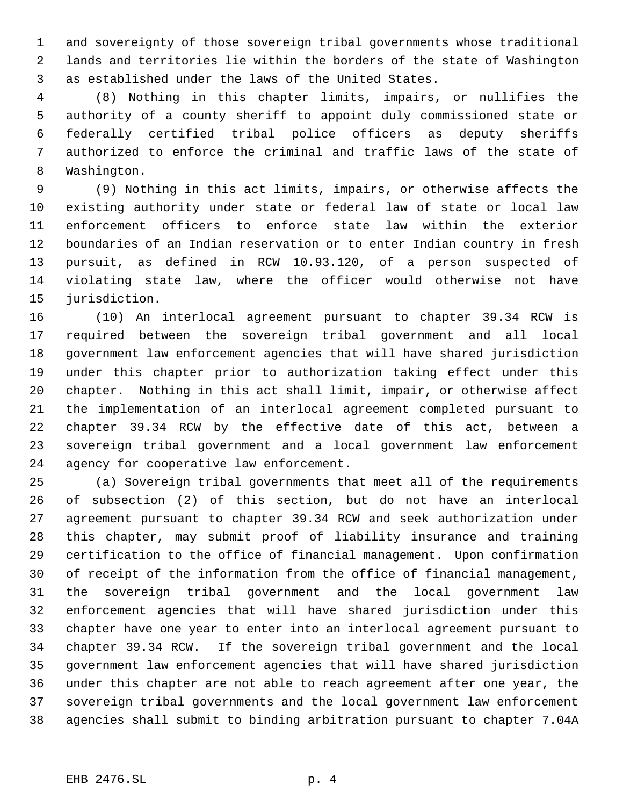and sovereignty of those sovereign tribal governments whose traditional lands and territories lie within the borders of the state of Washington as established under the laws of the United States.

 (8) Nothing in this chapter limits, impairs, or nullifies the authority of a county sheriff to appoint duly commissioned state or federally certified tribal police officers as deputy sheriffs authorized to enforce the criminal and traffic laws of the state of Washington.

 (9) Nothing in this act limits, impairs, or otherwise affects the existing authority under state or federal law of state or local law enforcement officers to enforce state law within the exterior boundaries of an Indian reservation or to enter Indian country in fresh pursuit, as defined in RCW 10.93.120, of a person suspected of violating state law, where the officer would otherwise not have jurisdiction.

 (10) An interlocal agreement pursuant to chapter 39.34 RCW is required between the sovereign tribal government and all local government law enforcement agencies that will have shared jurisdiction under this chapter prior to authorization taking effect under this chapter. Nothing in this act shall limit, impair, or otherwise affect the implementation of an interlocal agreement completed pursuant to chapter 39.34 RCW by the effective date of this act, between a sovereign tribal government and a local government law enforcement agency for cooperative law enforcement.

 (a) Sovereign tribal governments that meet all of the requirements of subsection (2) of this section, but do not have an interlocal agreement pursuant to chapter 39.34 RCW and seek authorization under this chapter, may submit proof of liability insurance and training certification to the office of financial management. Upon confirmation of receipt of the information from the office of financial management, the sovereign tribal government and the local government law enforcement agencies that will have shared jurisdiction under this chapter have one year to enter into an interlocal agreement pursuant to chapter 39.34 RCW. If the sovereign tribal government and the local government law enforcement agencies that will have shared jurisdiction under this chapter are not able to reach agreement after one year, the sovereign tribal governments and the local government law enforcement agencies shall submit to binding arbitration pursuant to chapter 7.04A